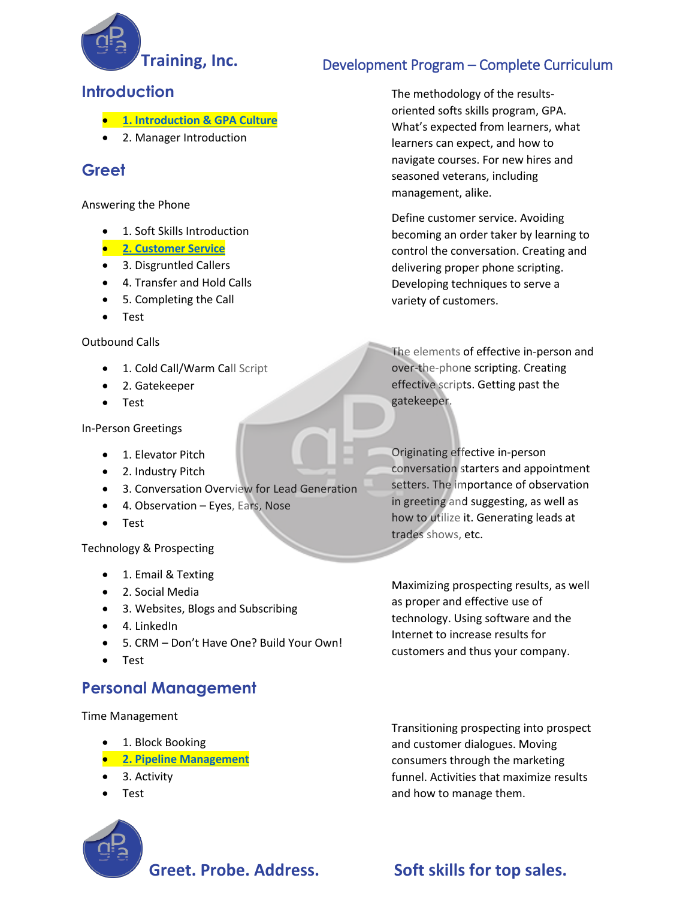

### **Training, Inc.** Development Program – Complete Curriculum

The methodology of the resultsoriented softs skills program, GPA. What's expected from learners, what learners can expect, and how to navigate courses. For new hires and

seasoned veterans, including

Define customer service. Avoiding becoming an order taker by learning to control the conversation. Creating and delivering proper phone scripting. Developing techniques to serve a

management, alike.

variety of customers.

#### **Introduction**

- **1. [Introduction & GPA Culture](http://www.gpasample.com/introduction/index.html)**
- 2. Manager Introduction

### **Greet**

Answering the Phone

- 1. Soft Skills Introduction
- **[2. Customer Service](http://www.gpasample.com/customerservice/index.html)**
- 3. Disgruntled Callers
- 4. Transfer and Hold Calls
- 5. Completing the Call
- Test

Outbound Calls

- 1. Cold Call/Warm Call Script
- 2. Gatekeeper
- Test

In-Person Greetings

- 1. Elevator Pitch
- 2. Industry Pitch
- 3. Conversation Overview for Lead Generation
- 4. Observation Eyes, Ears, Nose
- Test

Technology & Prospecting

- 1. Email & Texting
- 2. Social Media
- 3. Websites, Blogs and Subscribing
- 4. LinkedIn
- 5. CRM Don't Have One? Build Your Own!
- Test

#### **Personal Management**

Time Management

- 1. Block Booking
- **[2. Pipeline Management](http://www.gpasample.com/pipelinemanagement/index.html)**
- 3. Activity
- Test

and customer dialogues. Moving consumers through the marketing funnel. Activities that maximize results

## Greet. Probe. Address. Soft skills for top sales.

as proper and effective use of technology. Using software and the Internet to increase results for customers and thus your company.

The elements of effective in-person and over-the-phone scripting. Creating effective scripts. Getting past the gatekeeper.

Originating effective in-person conversation starters and appointment setters. The importance of observation in greeting and suggesting, as well as how to utilize it. Generating leads at

trades shows, etc.

Maximizing prospecting results, as well

Transitioning prospecting into prospect and how to manage them.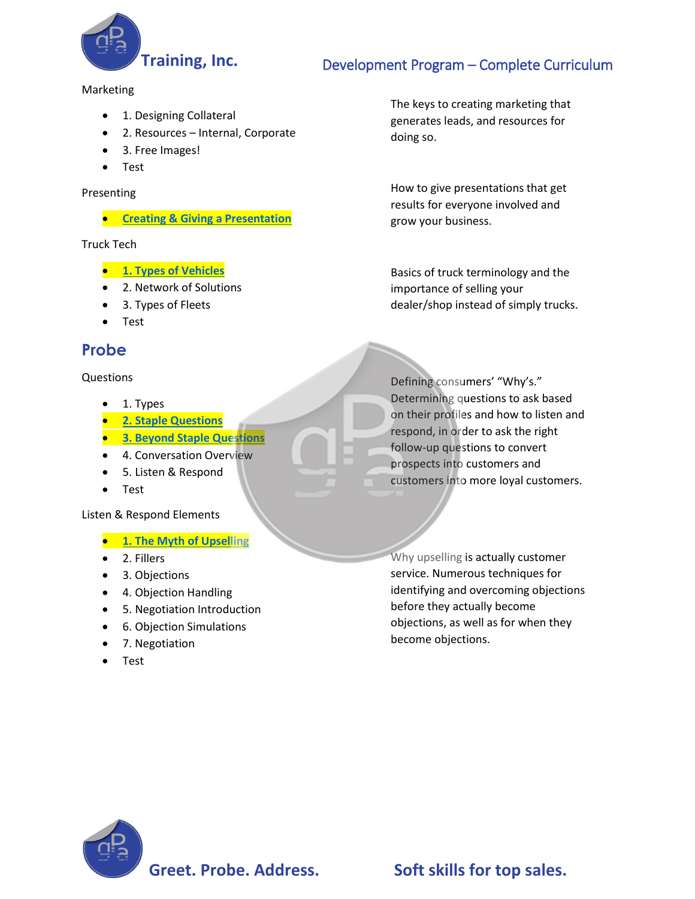

# **Training, Inc.** Development Program – Complete Curriculum

Marketing

- 1. Designing Collateral
- 2. Resources Internal, Corporate
- 3. Free Images!
- Test

Presenting

• **[Creating & Giving a Presentation](http://www.gpasample.com/presentation/index.html)**

Truck Tech

- **[1. Types of Vehicles](http://www.gpasample.com/typesofvehicles/index.html)**
- 2. Network of Solutions
- 3. Types of Fleets
- Test

#### **Probe**

Questions

- 1. Types
- **[2. Staple Questions](http://www.gpasample.com/staplequestions/index.html)**
- **[3. Beyond Staple Questions](http://www.gpasample.com/beyondstaplequestions/index.html)**
- 4. Conversation Overview
- 5. Listen & Respond
- Test

#### Listen & Respond Elements

- **[1. The Myth of Upselling](http://www.gpasample.com/themythofupselling/index.html)**
- 2. Fillers
- 3. Objections
- 4. Objection Handling
- 5. Negotiation Introduction
- 6. Objection Simulations
- 7. Negotiation
- Test

The keys to creating marketing that generates leads, and resources for doing so.

How to give presentations that get results for everyone involved and grow your business.

Basics of truck terminology and the importance of selling your dealer/shop instead of simply trucks.

Defining consumers' "Why's." Determining questions to ask based on their profiles and how to listen and respond, in order to ask the right follow-up questions to convert prospects into customers and customers into more loyal customers.

Why upselling is actually customer service. Numerous techniques for identifying and overcoming objections before they actually become objections, as well as for when they become objections.